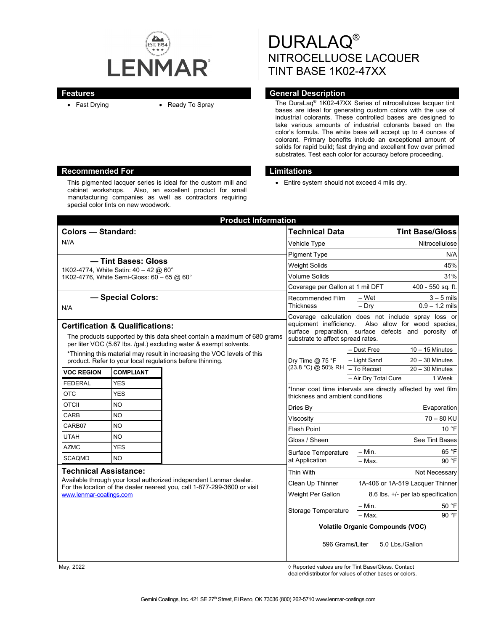

This pigmented lacquer series is ideal for the custom mill and cabinet workshops. Also, an excellent product for small manufacturing companies as well as contractors requiring

special color tints on new woodwork.

DURALAQ® NITROCELLUOSE LACQUER TINT BASE 1K02-47XX

## **Features General Description**

• Fast Drying • Ready To Spray The DuraLaq<sup>®</sup> 1K02-47XX Series of nitrocellulose lacquer tint bases are ideal for generating custom colors with the use of industrial colorants. These controlled bases are designed to take various amounts of industrial colorants based on the color's formula. The white base will accept up to 4 ounces of colorant. Primary benefits include an exceptional amount of solids for rapid build; fast drying and excellent flow over primed substrates. Test each color for accuracy before proceeding.

#### **Recommended For Limitations**

• Entire system should not exceed 4 mils dry.

| <b>Product Information</b>                                                                                                                                                                                |                                                           |                     |                                                                                                                                                                                                          |                                                     |
|-----------------------------------------------------------------------------------------------------------------------------------------------------------------------------------------------------------|-----------------------------------------------------------|---------------------|----------------------------------------------------------------------------------------------------------------------------------------------------------------------------------------------------------|-----------------------------------------------------|
| <b>Colors - Standard:</b>                                                                                                                                                                                 |                                                           |                     | <b>Technical Data</b>                                                                                                                                                                                    | <b>Tint Base/Gloss</b>                              |
| N//A                                                                                                                                                                                                      |                                                           | Vehicle Type        | Nitrocellulose                                                                                                                                                                                           |                                                     |
|                                                                                                                                                                                                           |                                                           |                     | <b>Pigment Type</b>                                                                                                                                                                                      | N/A                                                 |
| — Tint Bases: Gloss<br>1K02-4774, White Satin: 40 - 42 @ 60°                                                                                                                                              |                                                           |                     | <b>Weight Solids</b>                                                                                                                                                                                     | 45%                                                 |
| 1K02-4776, White Semi-Gloss: 60 - 65 @ 60°                                                                                                                                                                |                                                           |                     | Volume Solids                                                                                                                                                                                            | 31%                                                 |
|                                                                                                                                                                                                           |                                                           |                     | Coverage per Gallon at 1 mil DFT                                                                                                                                                                         | 400 - 550 sq. ft.                                   |
| - Special Colors:                                                                                                                                                                                         |                                                           |                     | Recommended Film<br>Thickness                                                                                                                                                                            | – Wet<br>$3 - 5$ mils                               |
| N/A                                                                                                                                                                                                       |                                                           |                     |                                                                                                                                                                                                          | $0.9 - 1.2$ mils<br>$-$ Dry                         |
| <b>Certification &amp; Qualifications:</b><br>The products supported by this data sheet contain a maximum of 680 grams<br>per liter VOC (5.67 lbs. /gal.) excluding water & exempt solvents.              |                                                           |                     | Coverage calculation does not include spray loss or<br>equipment inefficiency. Also allow for wood species,<br>surface preparation, surface defects and porosity of<br>substrate to affect spread rates. |                                                     |
| *Thinning this material may result in increasing the VOC levels of this                                                                                                                                   |                                                           |                     | $10 - 15$ Minutes<br>- Dust Free                                                                                                                                                                         |                                                     |
|                                                                                                                                                                                                           | product. Refer to your local regulations before thinning. |                     | Dry Time $@$ 75 °F<br>(23.8 °C) @ 50% RH - To Recoat                                                                                                                                                     | - Light Sand<br>$20 - 30$ Minutes                   |
| <b>VOC REGION</b>                                                                                                                                                                                         | <b>COMPLIANT</b>                                          |                     |                                                                                                                                                                                                          | $20 - 30$ Minutes<br>- Air Dry Total Cure<br>1 Week |
| <b>FEDERAL</b>                                                                                                                                                                                            | <b>YES</b>                                                |                     | *Inner coat time intervals are directly affected by wet film                                                                                                                                             |                                                     |
| <b>OTC</b>                                                                                                                                                                                                | <b>YES</b>                                                |                     | thickness and ambient conditions                                                                                                                                                                         |                                                     |
| <b>OTCII</b>                                                                                                                                                                                              | NO.                                                       |                     | Dries Bv                                                                                                                                                                                                 | Evaporation                                         |
| CARB                                                                                                                                                                                                      | <b>NO</b>                                                 |                     | Viscositv                                                                                                                                                                                                | $70 - 80$ KU                                        |
| CARB07                                                                                                                                                                                                    | NO                                                        |                     | <b>Flash Point</b>                                                                                                                                                                                       | 10 °F                                               |
| <b>UTAH</b>                                                                                                                                                                                               | <b>NO</b>                                                 |                     | Gloss / Sheen                                                                                                                                                                                            | See Tint Bases                                      |
| <b>AZMC</b>                                                                                                                                                                                               | <b>YES</b>                                                |                     | Surface Temperature                                                                                                                                                                                      | $-$ Min.<br>65 °F                                   |
| <b>SCAQMD</b>                                                                                                                                                                                             | <b>NO</b>                                                 |                     | at Application                                                                                                                                                                                           | $-$ Max.<br>90 °F                                   |
| <b>Technical Assistance:</b><br>Available through your local authorized independent Lenmar dealer.<br>For the location of the dealer nearest you, call 1-877-299-3600 or visit<br>www.lenmar-coatings.com |                                                           |                     | Thin With                                                                                                                                                                                                | Not Necessary                                       |
|                                                                                                                                                                                                           |                                                           |                     | Clean Up Thinner                                                                                                                                                                                         | 1A-406 or 1A-519 Lacquer Thinner                    |
|                                                                                                                                                                                                           |                                                           |                     | Weight Per Gallon                                                                                                                                                                                        | 8.6 lbs. +/- per lab specification                  |
|                                                                                                                                                                                                           |                                                           | Storage Temperature | $-$ Min.<br>50 °F                                                                                                                                                                                        |                                                     |
|                                                                                                                                                                                                           |                                                           |                     | 90 °F<br>$-$ Max.                                                                                                                                                                                        |                                                     |
|                                                                                                                                                                                                           |                                                           |                     | <b>Volatile Organic Compounds (VOC)</b>                                                                                                                                                                  |                                                     |
|                                                                                                                                                                                                           |                                                           |                     | 596 Grams/Liter<br>5.0 Lbs./Gallon                                                                                                                                                                       |                                                     |

May, 2022 ◊ Reported values are for Tint Base/Gloss. Contact dealer/distributor for values of other bases or colors.